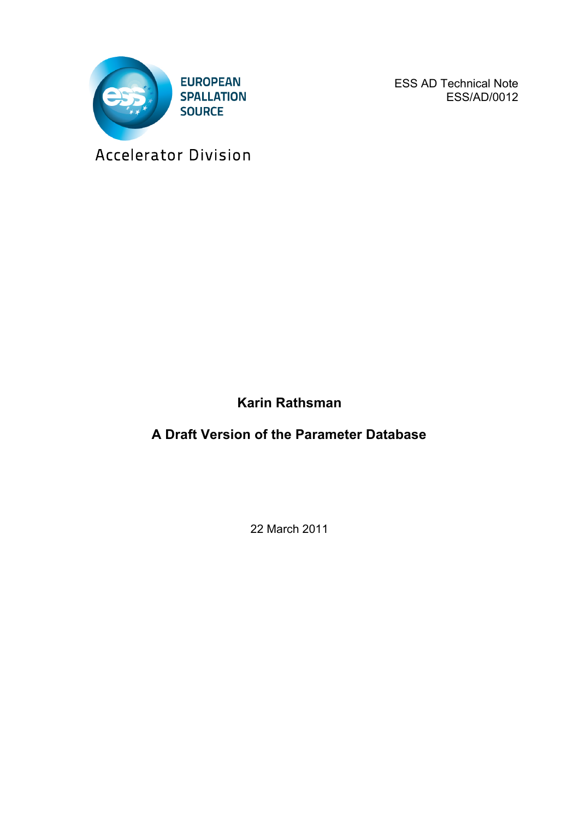

ESS AD Technical Note ESS/AD/0012

Accelerator Division

**Karin Rathsman**

**A Draft Version of the Parameter Database**

22 March 2011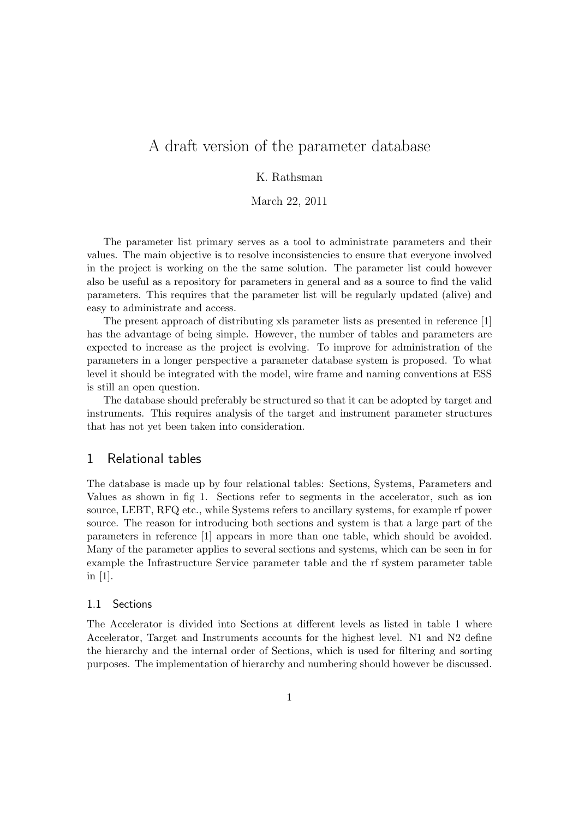# A draft version of the parameter database

## K. Rathsman

March 22, 2011

The parameter list primary serves as a tool to administrate parameters and their values. The main objective is to resolve inconsistencies to ensure that everyone involved in the project is working on the the same solution. The parameter list could however also be useful as a repository for parameters in general and as a source to find the valid parameters. This requires that the parameter list will be regularly updated (alive) and easy to administrate and access.

The present approach of distributing xls parameter lists as presented in reference [1] has the advantage of being simple. However, the number of tables and parameters are expected to increase as the project is evolving. To improve for administration of the parameters in a longer perspective a parameter database system is proposed. To what level it should be integrated with the model, wire frame and naming conventions at ESS is still an open question.

The database should preferably be structured so that it can be adopted by target and instruments. This requires analysis of the target and instrument parameter structures that has not yet been taken into consideration.

## 1 Relational tables

The database is made up by four relational tables: Sections, Systems, Parameters and Values as shown in fig 1. Sections refer to segments in the accelerator, such as ion source, LEBT, RFQ etc., while Systems refers to ancillary systems, for example rf power source. The reason for introducing both sections and system is that a large part of the parameters in reference [1] appears in more than one table, which should be avoided. Many of the parameter applies to several sections and systems, which can be seen in for example the Infrastructure Service parameter table and the rf system parameter table in [1].

#### 1.1 Sections

The Accelerator is divided into Sections at different levels as listed in table 1 where Accelerator, Target and Instruments accounts for the highest level. N1 and N2 define the hierarchy and the internal order of Sections, which is used for filtering and sorting purposes. The implementation of hierarchy and numbering should however be discussed.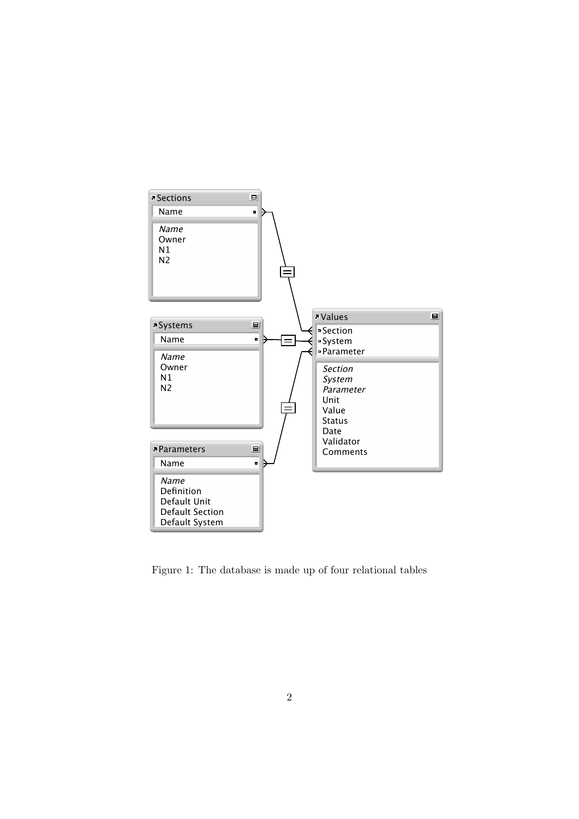

Figure 1: The database is made up of four relational tables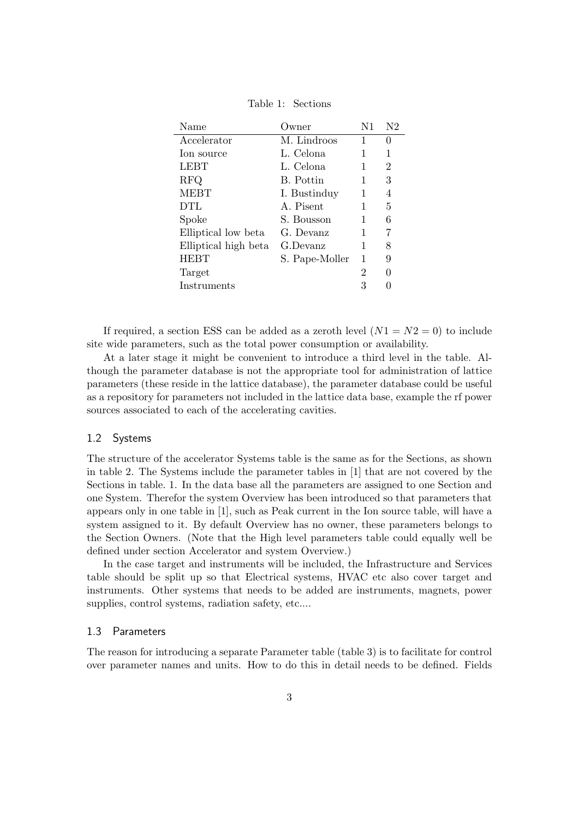| Name                 | Owner)         | N1 | N2               |
|----------------------|----------------|----|------------------|
| Accelerator          | M. Lindroos    | 1  | $\left( \right)$ |
| Ion source           | L. Celona      | 1  | 1                |
| <b>LEBT</b>          | L. Celona      |    | 2                |
| <b>RFQ</b>           | B. Pottin      | 1  | 3                |
| <b>MEBT</b>          | I. Bustinduy   | 1  | 4                |
| <b>DTL</b>           | A. Pisent      | 1  | 5                |
| Spoke                | S. Bousson     | 1  | 6                |
| Elliptical low beta  | G. Devanz      | 1  | 7                |
| Elliptical high beta | G.Devanz       | 1  | 8                |
| <b>HEBT</b>          | S. Pape-Moller | 1  | 9                |
| Target               |                | 2  | $\theta$         |
| Instruments          |                | 3  |                  |
|                      |                |    |                  |

Table 1: Sections

If required, a section ESS can be added as a zeroth level  $(N1 = N2 = 0)$  to include site wide parameters, such as the total power consumption or availability.

At a later stage it might be convenient to introduce a third level in the table. Although the parameter database is not the appropriate tool for administration of lattice parameters (these reside in the lattice database), the parameter database could be useful as a repository for parameters not included in the lattice data base, example the rf power sources associated to each of the accelerating cavities.

#### 1.2 Systems

The structure of the accelerator Systems table is the same as for the Sections, as shown in table 2. The Systems include the parameter tables in [1] that are not covered by the Sections in table. 1. In the data base all the parameters are assigned to one Section and one System. Therefor the system Overview has been introduced so that parameters that appears only in one table in [1], such as Peak current in the Ion source table, will have a system assigned to it. By default Overview has no owner, these parameters belongs to the Section Owners. (Note that the High level parameters table could equally well be defined under section Accelerator and system Overview.)

In the case target and instruments will be included, the Infrastructure and Services table should be split up so that Electrical systems, HVAC etc also cover target and instruments. Other systems that needs to be added are instruments, magnets, power supplies, control systems, radiation safety, etc....

#### 1.3 Parameters

The reason for introducing a separate Parameter table (table 3) is to facilitate for control over parameter names and units. How to do this in detail needs to be defined. Fields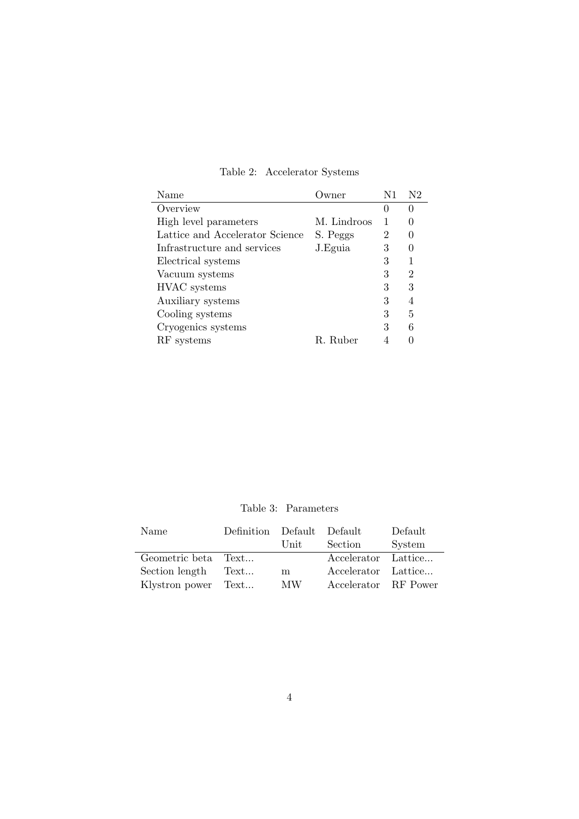| Name                            | wner        | N1 | N2               |
|---------------------------------|-------------|----|------------------|
| Overview                        |             |    | 0                |
| High level parameters           | M. Lindroos | 1  |                  |
| Lattice and Accelerator Science | S. Peggs    | 2  | $\left( \right)$ |
| Infrastructure and services     | J. Eguia    | 3  | $\left( \right)$ |
| Electrical systems              |             | 3  | 1                |
| Vacuum systems                  |             | 3  | $\overline{2}$   |
| HVAC systems                    |             | 3  | 3                |
| Auxiliary systems               |             | 3  | 4                |
| Cooling systems                 |             | 3  | 5                |
| Cryogenics systems              |             | 3  | 6                |
| RF systems                      | R. Ruber    |    |                  |

Table 2: Accelerator Systems

Table 3: Parameters

| Name                | Definition Default Default |      |                      | Default |
|---------------------|----------------------------|------|----------------------|---------|
|                     |                            | Unit | Section              | System  |
| Geometric beta Text |                            |      | Accelerator Lattice  |         |
| Section length      | Text                       | m    | Accelerator Lattice  |         |
| Klystron power Text |                            | MW   | Accelerator RF Power |         |